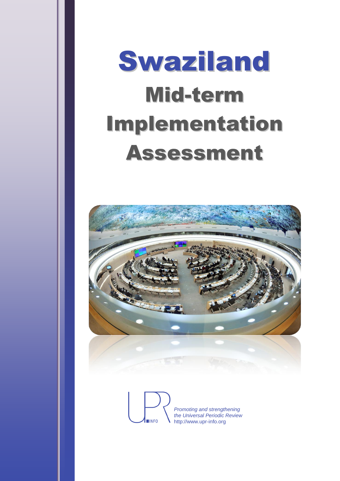# Swaziland Mid-term Implementation Assessment



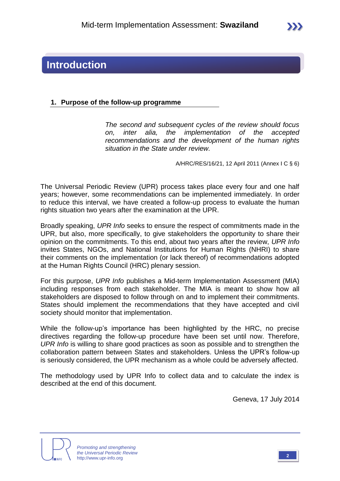# **Introduction**

#### **1. Purpose of the follow-up programme**

*The second and subsequent cycles of the review should focus on, inter alia, the implementation of the accepted recommendations and the development of the human rights situation in the State under review.*

A/HRC/RES/16/21, 12 April 2011 (Annex I C § 6)

The Universal Periodic Review (UPR) process takes place every four and one half years; however, some recommendations can be implemented immediately. In order to reduce this interval, we have created a follow-up process to evaluate the human rights situation two years after the examination at the UPR.

Broadly speaking, *UPR Info* seeks to ensure the respect of commitments made in the UPR, but also, more specifically, to give stakeholders the opportunity to share their opinion on the commitments. To this end, about two years after the review, *UPR Info* invites States, NGOs, and National Institutions for Human Rights (NHRI) to share their comments on the implementation (or lack thereof) of recommendations adopted at the Human Rights Council (HRC) plenary session.

For this purpose, *UPR Info* publishes a Mid-term Implementation Assessment (MIA) including responses from each stakeholder. The MIA is meant to show how all stakeholders are disposed to follow through on and to implement their commitments. States should implement the recommendations that they have accepted and civil society should monitor that implementation.

While the follow-up's importance has been highlighted by the HRC, no precise directives regarding the follow-up procedure have been set until now. Therefore, *UPR Info* is willing to share good practices as soon as possible and to strengthen the collaboration pattern between States and stakeholders. Unless the UPR's follow-up is seriously considered, the UPR mechanism as a whole could be adversely affected.

The methodology used by UPR Info to collect data and to calculate the index is described at the end of this document.

Geneva, 17 July 2014



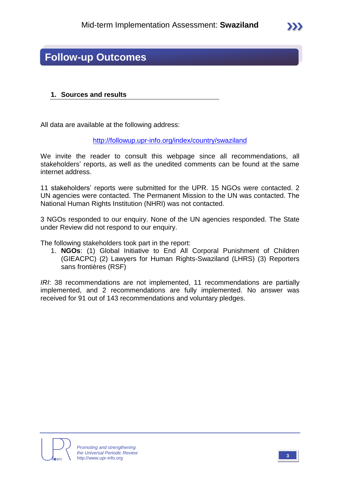# **Follow-up Outcomes**

#### **1. Sources and results**

All data are available at the following address:

<http://followup.upr-info.org/index/country/swaziland>

We invite the reader to consult this webpage since all recommendations, all stakeholders' reports, as well as the unedited comments can be found at the same internet address.

11 stakeholders' reports were submitted for the UPR. 15 NGOs were contacted. 2 UN agencies were contacted. The Permanent Mission to the UN was contacted. The National Human Rights Institution (NHRI) was not contacted.

3 NGOs responded to our enquiry. None of the UN agencies responded. The State under Review did not respond to our enquiry.

The following stakeholders took part in the report:

1. **NGOs**: (1) Global Initiative to End All Corporal Punishment of Children (GIEACPC) (2) Lawyers for Human Rights-Swaziland (LHRS) (3) Reporters sans frontières (RSF)

*IRI*: 38 recommendations are not implemented, 11 recommendations are partially implemented, and 2 recommendations are fully implemented. No answer was received for 91 out of 143 recommendations and voluntary pledges.

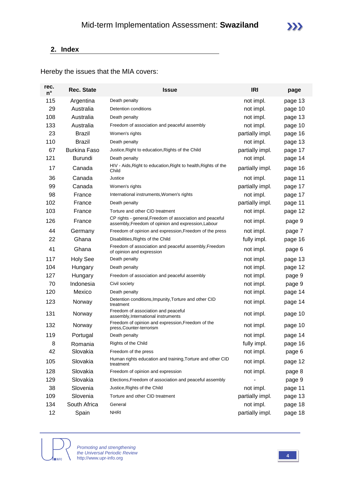## **2. Index**

Hereby the issues that the MIA covers:

| rec.<br>$n^{\circ}$ | Rec. State          | <b>Issue</b>                                                                                                    | <b>IRI</b>      | page    |  |
|---------------------|---------------------|-----------------------------------------------------------------------------------------------------------------|-----------------|---------|--|
| 115                 | Argentina           | Death penalty                                                                                                   | not impl.       | page 13 |  |
| 29                  | Australia           | Detention conditions                                                                                            | not impl.       | page 10 |  |
| 108                 | Australia           | Death penalty                                                                                                   | not impl.       | page 13 |  |
| 133                 | Australia           | Freedom of association and peaceful assembly                                                                    | not impl.       | page 10 |  |
| 23                  | Brazil              | Women's rights                                                                                                  | partially impl. | page 16 |  |
| 110                 | <b>Brazil</b>       | Death penalty                                                                                                   | not impl.       | page 13 |  |
| 67                  | <b>Burkina Faso</b> | Justice, Right to education, Rights of the Child                                                                | partially impl. | page 17 |  |
| 121                 | <b>Burundi</b>      | Death penalty                                                                                                   | not impl.       | page 14 |  |
| 17                  | Canada              | HIV - Aids, Right to education, Right to health, Rights of the<br>Child                                         | partially impl. | page 16 |  |
| 36                  | Canada              | Justice                                                                                                         | not impl.       | page 11 |  |
| 99                  | Canada              | Women's rights                                                                                                  | partially impl. | page 17 |  |
| 98                  | France              | International instruments, Women's rights                                                                       | not impl.       | page 17 |  |
| 102                 | France              | Death penalty                                                                                                   | partially impl. | page 11 |  |
| 103                 | France              | Torture and other CID treatment                                                                                 | not impl.       | page 12 |  |
| 126                 | France              | CP rights - general, Freedom of association and peaceful<br>assembly, Freedom of opinion and expression, Labour | not impl.       | page 9  |  |
| 44                  | Germany             | Freedom of opinion and expression, Freedom of the press                                                         | not impl.       | page 7  |  |
| 22                  | Ghana               | Disabilities, Rights of the Child                                                                               | fully impl.     | page 16 |  |
| 41                  | Ghana               | Freedom of association and peaceful assembly, Freedom<br>of opinion and expression                              | not impl.       | page 6  |  |
| 117                 | <b>Holy See</b>     | Death penalty                                                                                                   | not impl.       | page 13 |  |
| 104                 | Hungary             | Death penalty                                                                                                   | not impl.       | page 12 |  |
| 127                 | Hungary             | Freedom of association and peaceful assembly                                                                    | not impl.       | page 9  |  |
| 70                  | Indonesia           | Civil society                                                                                                   | not impl.       | page 9  |  |
| 120                 | Mexico              | Death penalty                                                                                                   | not impl.       | page 14 |  |
| 123                 | Norway              | Detention conditions, Impunity, Torture and other CID<br>treatment                                              | not impl.       | page 14 |  |
| 131                 | Norway              | Freedom of association and peaceful<br>assembly, International instruments                                      | not impl.       | page 10 |  |
| 132                 | Norway              | Freedom of opinion and expression, Freedom of the<br>press, Counter-terrorism                                   | not impl.       | page 10 |  |
| 119                 | Portugal            | Death penalty                                                                                                   | not impl.       | page 14 |  |
| 8                   | Romania             | Rights of the Child                                                                                             | fully impl.     | page 16 |  |
| 42                  | Slovakia            | Freedom of the press                                                                                            | not impl.       | page 6  |  |
| 105                 | Slovakia            | Human rights education and training, Torture and other CID<br>treatment                                         | not impl.       | page 12 |  |
| 128                 | Slovakia            | Freedom of opinion and expression                                                                               | not impl.       | page 8  |  |
| 129                 | Slovakia            | Elections, Freedom of association and peaceful assembly                                                         |                 | page 9  |  |
| 38                  | Slovenia            | Justice, Rights of the Child                                                                                    | not impl.       | page 11 |  |
| 109                 | Slovenia            | Torture and other CID treatment                                                                                 | partially impl. | page 13 |  |
| 134                 | South Africa        | General                                                                                                         | not impl.       | page 18 |  |
| 12                  | Spain               | <b>NHRI</b>                                                                                                     | partially impl. | page 18 |  |

**INFO** 

*Promoting and strengthening the Universal Periodic Review* http://www.upr-info.org **<sup>4</sup>**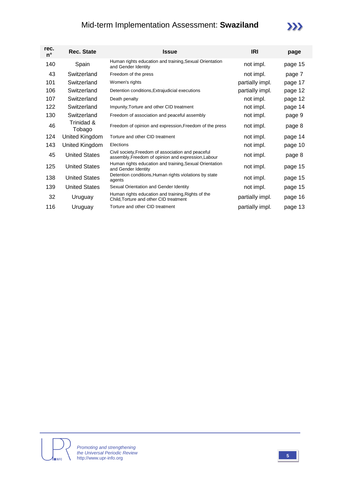# Mid-term Implementation Assessment: **Swaziland**



| rec.<br>n° | <b>Rec. State</b>    | Issue                                                                                                     | <b>IRI</b>      | page    |
|------------|----------------------|-----------------------------------------------------------------------------------------------------------|-----------------|---------|
| 140        | Spain                | Human rights education and training, Sexual Orientation<br>and Gender Identity                            | not impl.       | page 15 |
| 43         | Switzerland          | Freedom of the press                                                                                      | not impl.       | page 7  |
| 101        | Switzerland          | Women's rights                                                                                            | partially impl. | page 17 |
| 106        | Switzerland          | Detention conditions, Extrajudicial executions                                                            | partially impl. | page 12 |
| 107        | Switzerland          | Death penalty                                                                                             | not impl.       | page 12 |
| 122        | Switzerland          | Impunity, Torture and other CID treatment                                                                 | not impl.       | page 14 |
| 130        | Switzerland          | Freedom of association and peaceful assembly                                                              | not impl.       | page 9  |
| 46         | Trinidad &<br>Tobago | Freedom of opinion and expression, Freedom of the press                                                   | not impl.       | page 8  |
| 124        | United Kingdom       | Torture and other CID treatment                                                                           | not impl.       | page 14 |
| 143        | United Kingdom       | Elections                                                                                                 | not impl.       | page 10 |
| 45         | <b>United States</b> | Civil society, Freedom of association and peaceful<br>assembly, Freedom of opinion and expression, Labour | not impl.       | page 8  |
| 125        | <b>United States</b> | Human rights education and training, Sexual Orientation<br>and Gender Identity                            | not impl.       | page 15 |
| 138        | <b>United States</b> | Detention conditions, Human rights violations by state<br>agents                                          | not impl.       | page 15 |
| 139        | <b>United States</b> | Sexual Orientation and Gender Identity                                                                    | not impl.       | page 15 |
| 32         | Uruguay              | Human rights education and training, Rights of the<br>Child, Torture and other CID treatment              | partially impl. | page 16 |
| 116        | Uruguay              | Torture and other CID treatment                                                                           | partially impl. | page 13 |



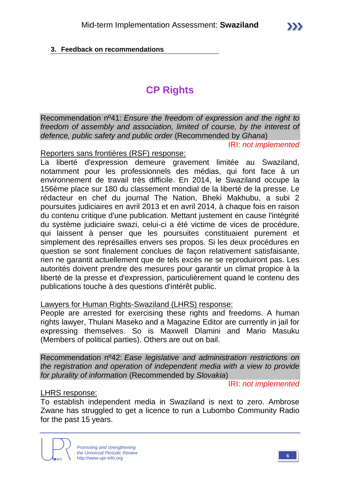# **3. Feedback on recommendations**

# **CP Rights**

Recommendation nº41: *Ensure the freedom of expression and the right to freedom of assembly and association, limited of course, by the interest of defence, public safety and public order* (Recommended by *Ghana*)

IRI: *not implemented*

#### Reporters sans frontières (RSF) response:

La liberté d'expression demeure gravement limitée au Swaziland, notamment pour les professionnels des médias, qui font face à un environnement de travail très difficile. En 2014, le Swaziland occupe la 156ème place sur 180 du classement mondial de la liberté de la presse. Le rédacteur en chef du journal The Nation, Bheki Makhubu, a subi 2 poursuites judiciaires en avril 2013 et en avril 2014, à chaque fois en raison du contenu critique d'une publication. Mettant justement en cause l'intégrité du système judiciaire swazi, celui-ci a été victime de vices de procédure, qui laissent à penser que les poursuites constituaient purement et simplement des représailles envers ses propos. Si les deux procédures en question se sont finalement conclues de façon relativement satisfaisante, rien ne garantit actuellement que de tels excès ne se reproduiront pas. Les autorités doivent prendre des mesures pour garantir un climat propice à la liberté de la presse et d'expression, particulièrement quand le contenu des publications touche à des questions d'intérêt public.

#### Lawyers for Human Rights-Swaziland (LHRS) response:

People are arrested for exercising these rights and freedoms. A human rights lawyer, Thulani Maseko and a Magazine Editor are currently in jail for expressing themselves. So is Maxwell Dlamini and Mario Masuku (Members of political parties). Others are out on bail.

Recommendation nº42: *Ease legislative and administration restrictions on the registration and operation of independent media with a view to provide for plurality of information* (Recommended by *Slovakia*)

IRI: *not implemented*

# LHRS response:

To establish independent media in Swaziland is next to zero. Ambrose Zwane has struggled to get a licence to run a Lubombo Community Radio for the past 15 years.

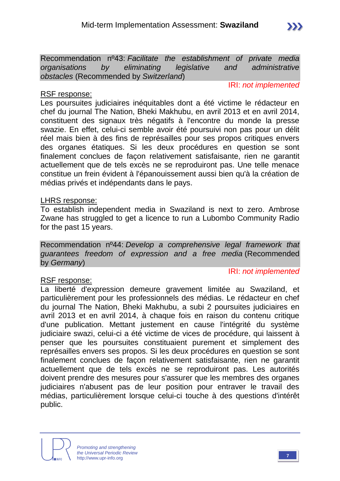Recommendation nº43: *Facilitate the establishment of private media organisations by eliminating legislative and administrative obstacles* (Recommended by *Switzerland*)

IRI: *not implemented*

 $\sum$ 

## RSF response:

Les poursuites judiciaires inéquitables dont a été victime le rédacteur en chef du journal The Nation, Bheki Makhubu, en avril 2013 et en avril 2014, constituent des signaux très négatifs à l'encontre du monde la presse swazie. En effet, celui-ci semble avoir été poursuivi non pas pour un délit réel mais bien à des fins de représailles pour ses propos critiques envers des organes étatiques. Si les deux procédures en question se sont finalement conclues de façon relativement satisfaisante, rien ne garantit actuellement que de tels excès ne se reproduiront pas. Une telle menace constitue un frein évident à l'épanouissement aussi bien qu'à la création de médias privés et indépendants dans le pays.

#### LHRS response:

To establish independent media in Swaziland is next to zero. Ambrose Zwane has struggled to get a licence to run a Lubombo Community Radio for the past 15 years.

Recommendation nº44: *Develop a comprehensive legal framework that guarantees freedom of expression and a free media* (Recommended by *Germany*)

# RSF response:

IRI: *not implemented*

La liberté d'expression demeure gravement limitée au Swaziland, et particulièrement pour les professionnels des médias. Le rédacteur en chef du journal The Nation, Bheki Makhubu, a subi 2 poursuites judiciaires en avril 2013 et en avril 2014, à chaque fois en raison du contenu critique d'une publication. Mettant justement en cause l'intégrité du système judiciaire swazi, celui-ci a été victime de vices de procédure, qui laissent à penser que les poursuites constituaient purement et simplement des représailles envers ses propos. Si les deux procédures en question se sont finalement conclues de façon relativement satisfaisante, rien ne garantit actuellement que de tels excès ne se reproduiront pas. Les autorités doivent prendre des mesures pour s'assurer que les membres des organes judiciaires n'abusent pas de leur position pour entraver le travail des médias, particulièrement lorsque celui-ci touche à des questions d'intérêt public.



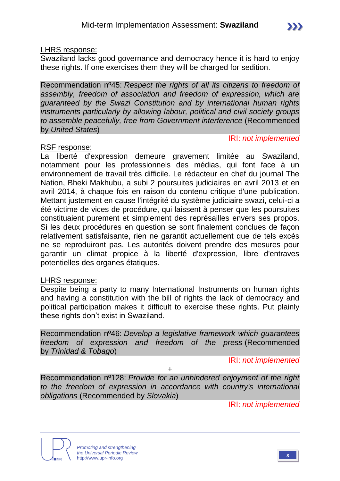#### LHRS response:

Swaziland lacks good governance and democracy hence it is hard to enjoy these rights. If one exercises them they will be charged for sedition.

Recommendation nº45: *Respect the rights of all its citizens to freedom of assembly, freedom of association and freedom of expression, which are guaranteed by the Swazi Constitution and by international human rights instruments particularly by allowing labour, political and civil society groups to assemble peacefully, free from Government interference* (Recommended by *United States*)

## RSF response:

#### IRI: *not implemented*

La liberté d'expression demeure gravement limitée au Swaziland, notamment pour les professionnels des médias, qui font face à un environnement de travail très difficile. Le rédacteur en chef du journal The Nation, Bheki Makhubu, a subi 2 poursuites judiciaires en avril 2013 et en avril 2014, à chaque fois en raison du contenu critique d'une publication. Mettant justement en cause l'intégrité du système judiciaire swazi, celui-ci a été victime de vices de procédure, qui laissent à penser que les poursuites constituaient purement et simplement des représailles envers ses propos. Si les deux procédures en question se sont finalement conclues de façon relativement satisfaisante, rien ne garantit actuellement que de tels excès ne se reproduiront pas. Les autorités doivent prendre des mesures pour garantir un climat propice à la liberté d'expression, libre d'entraves potentielles des organes étatiques.

# LHRS response:

Despite being a party to many International Instruments on human rights and having a constitution with the bill of rights the lack of democracy and political participation makes it difficult to exercise these rights. Put plainly these rights don't exist in Swaziland.

Recommendation nº46: *Develop a legislative framework which guarantees freedom of expression and freedom of the press* (Recommended by *Trinidad & Tobago*)

IRI: *not implemented*

+

Recommendation nº128: *Provide for an unhindered enjoyment of the right to the freedom of expression in accordance with country's international obligations* (Recommended by *Slovakia*)

IRI: *not implemented*



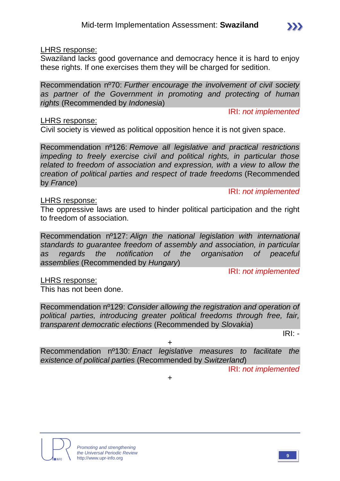#### LHRS response:

Swaziland lacks good governance and democracy hence it is hard to enjoy these rights. If one exercises them they will be charged for sedition.

Recommendation nº70: *Further encourage the involvement of civil society as partner of the Government in promoting and protecting of human rights* (Recommended by *Indonesia*)

IRI: *not implemented*

 $\sum$ 

IRI: *not implemented*

#### LHRS response:

Civil society is viewed as political opposition hence it is not given space.

Recommendation nº126: *Remove all legislative and practical restrictions impeding to freely exercise civil and political rights, in particular those related to freedom of association and expression, with a view to allow the creation of political parties and respect of trade freedoms* (Recommended by *France*)

#### LHRS response:

The oppressive laws are used to hinder political participation and the right to freedom of association.

Recommendation nº127: *Align the national legislation with international standards to guarantee freedom of assembly and association, in particular as regards the notification of the organisation of peaceful assemblies* (Recommended by *Hungary*)

IRI: *not implemented*

LHRS response:

This has not been done.

Recommendation nº129: *Consider allowing the registration and operation of political parties, introducing greater political freedoms through free, fair, transparent democratic elections* (Recommended by *Slovakia*)

IRI: *-*

Recommendation nº130: *Enact legislative measures to facilitate the existence of political parties* (Recommended by *Switzerland*)

+

IRI: *not implemented*





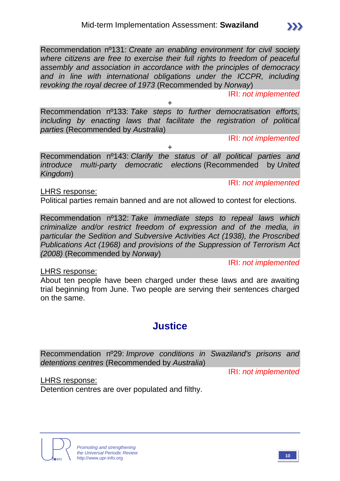Recommendation nº131: *Create an enabling environment for civil society where citizens are free to exercise their full rights to freedom of peaceful assembly and association in accordance with the principles of democracy*  and in line with international obligations under the ICCPR, including *revoking the royal decree of 1973* (Recommended by *Norway*)

IRI: *not implemented*

 $\sum$ 

+ Recommendation nº133: *Take steps to further democratisation efforts, including by enacting laws that facilitate the registration of political parties* (Recommended by *Australia*)

IRI: *not implemented*

Recommendation nº143: *Clarify the status of all political parties and introduce multi-party democratic elections* (Recommended by *United Kingdom*)

+

IRI: *not implemented*

LHRS response:

Political parties remain banned and are not allowed to contest for elections.

Recommendation nº132: *Take immediate steps to repeal laws which criminalize and/or restrict freedom of expression and of the media, in particular the Sedition and Subversive Activities Act (1938), the Proscribed Publications Act (1968) and provisions of the Suppression of Terrorism Act (2008)* (Recommended by *Norway*)

IRI: *not implemented*

LHRS response:

About ten people have been charged under these laws and are awaiting trial beginning from June. Two people are serving their sentences charged on the same.

# **Justice**

Recommendation nº29: *Improve conditions in Swaziland's prisons and detentions centres* (Recommended by *Australia*)

IRI: *not implemented*

LHRS response:

Detention centres are over populated and filthy.



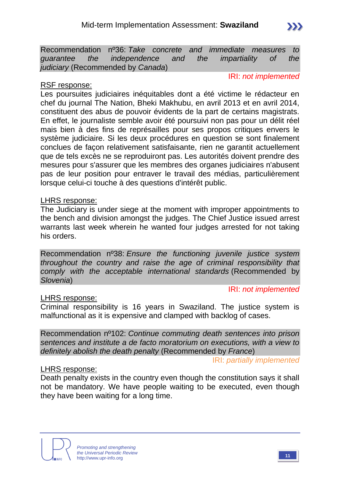

#### RSF response:

IRI: *not implemented*

Les poursuites judiciaires inéquitables dont a été victime le rédacteur en chef du journal The Nation, Bheki Makhubu, en avril 2013 et en avril 2014, constituent des abus de pouvoir évidents de la part de certains magistrats. En effet, le journaliste semble avoir été poursuivi non pas pour un délit réel mais bien à des fins de représailles pour ses propos critiques envers le système judiciaire. Si les deux procédures en question se sont finalement conclues de façon relativement satisfaisante, rien ne garantit actuellement que de tels excès ne se reproduiront pas. Les autorités doivent prendre des mesures pour s'assurer que les membres des organes judiciaires n'abusent pas de leur position pour entraver le travail des médias, particulièrement lorsque celui-ci touche à des questions d'intérêt public.

#### LHRS response:

The Judiciary is under siege at the moment with improper appointments to the bench and division amongst the judges. The Chief Justice issued arrest warrants last week wherein he wanted four judges arrested for not taking his orders.

Recommendation nº38: *Ensure the functioning juvenile justice system throughout the country and raise the age of criminal responsibility that comply with the acceptable international standards* (Recommended by *Slovenia*)

IRI: *not implemented*

#### LHRS response:

Criminal responsibility is 16 years in Swaziland. The justice system is malfunctional as it is expensive and clamped with backlog of cases.

Recommendation nº102: *Continue commuting death sentences into prison sentences and institute a de facto moratorium on executions, with a view to definitely abolish the death penalty* (Recommended by *France*)

IRI: *partially implemented*

#### LHRS response:

Death penalty exists in the country even though the constitution says it shall not be mandatory. We have people waiting to be executed, even though they have been waiting for a long time.

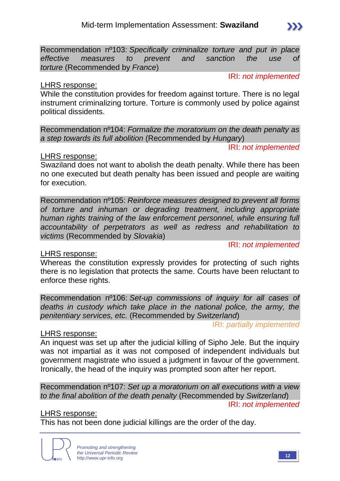Recommendation nº103: *Specifically criminalize torture and put in place effective measures to prevent and sanction the use of torture* (Recommended by *France*)

#### IRI: *not implemented*

## LHRS response:

While the constitution provides for freedom against torture. There is no legal instrument criminalizing torture. Torture is commonly used by police against political dissidents.

Recommendation nº104: *Formalize the moratorium on the death penalty as a step towards its full abolition* (Recommended by *Hungary*)

IRI: *not implemented*

## LHRS response:

Swaziland does not want to abolish the death penalty. While there has been no one executed but death penalty has been issued and people are waiting for execution.

Recommendation nº105: *Reinforce measures designed to prevent all forms of torture and inhuman or degrading treatment, including appropriate human rights training of the law enforcement personnel, while ensuring full accountability of perpetrators as well as redress and rehabilitation to victims* (Recommended by *Slovakia*)

IRI: *not implemented*

# LHRS response:

Whereas the constitution expressly provides for protecting of such rights there is no legislation that protects the same. Courts have been reluctant to enforce these rights.

Recommendation nº106: *Set-up commissions of inquiry for all cases of deaths in custody which take place in the national police, the army, the penitentiary services, etc.* (Recommended by *Switzerland*)

IRI: *partially implemented*

# LHRS response:

An inquest was set up after the judicial killing of Sipho Jele. But the inquiry was not impartial as it was not composed of independent individuals but government magistrate who issued a judgment in favour of the government. Ironically, the head of the inquiry was prompted soon after her report.

Recommendation nº107: *Set up a moratorium on all executions with a view to the final abolition of the death penalty* (Recommended by *Switzerland*)

IRI: *not implemented*

# LHRS response:

This has not been done judicial killings are the order of the day.

*Promoting and strengthening the Universal Periodic Review* http://www.upr-info.org **12** 



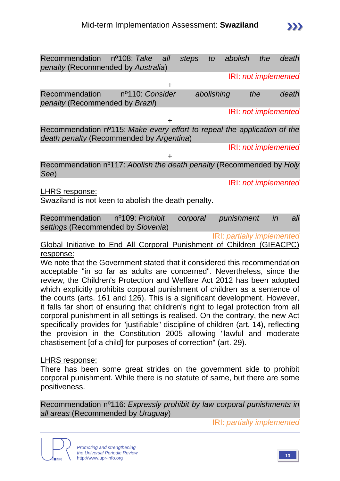| Recommendation nº108: Take<br>penalty (Recommended by Australia)                                                     |                 | all | steps    | to         | abolish              | the | death |     |
|----------------------------------------------------------------------------------------------------------------------|-----------------|-----|----------|------------|----------------------|-----|-------|-----|
|                                                                                                                      |                 |     |          |            | IRI: not implemented |     |       |     |
| Recommendation<br>penalty (Recommended by Brazil)                                                                    | nº110: Consider |     |          | abolishing |                      | the | death |     |
|                                                                                                                      |                 |     |          |            | IRI: not implemented |     |       |     |
| Recommendation nº115: Make every effort to repeal the application of the<br>death penalty (Recommended by Argentina) |                 |     |          |            |                      |     |       |     |
|                                                                                                                      |                 |     |          |            | IRI: not implemented |     |       |     |
| Recommendation n <sup>o</sup> 117: Abolish the death penalty (Recommended by Holy<br>See)                            |                 |     |          |            |                      |     |       |     |
| LHRS response:<br>Swaziland is not keen to abolish the death penalty.                                                |                 |     |          |            | IRI: not implemented |     |       |     |
| Recommendation<br>settings (Recommended by Slovenia)                                                                 | nº109: Prohibit |     | corporal |            | punishment           |     | in    | all |

IRI: *partially implemented*

Global Initiative to End All Corporal Punishment of Children (GIEACPC) response:

We note that the Government stated that it considered this recommendation acceptable "in so far as adults are concerned". Nevertheless, since the review, the Children's Protection and Welfare Act 2012 has been adopted which explicitly prohibits corporal punishment of children as a sentence of the courts (arts. 161 and 126). This is a significant development. However, it falls far short of ensuring that children's right to legal protection from all corporal punishment in all settings is realised. On the contrary, the new Act specifically provides for "justifiable" discipline of children (art. 14), reflecting the provision in the Constitution 2005 allowing "lawful and moderate chastisement [of a child] for purposes of correction" (art. 29).

#### LHRS response:

There has been some great strides on the government side to prohibit corporal punishment. While there is no statute of same, but there are some positiveness.

Recommendation nº116: *Expressly prohibit by law corporal punishments in all areas* (Recommended by *Uruguay*)

IRI: *partially implemented*

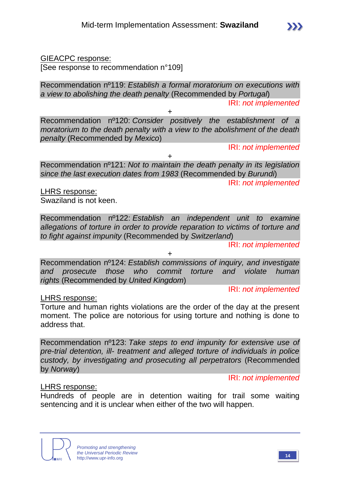# GIEACPC response:

[See response to recommendation n°109]

Recommendation nº119: *Establish a formal moratorium on executions with a view to abolishing the death penalty* (Recommended by *Portugal*)

IRI: *not implemented*

Recommendation nº120: *Consider positively the establishment of a moratorium to the death penalty with a view to the abolishment of the death penalty* (Recommended by *Mexico*)

+

IRI: *not implemented*

+

Recommendation nº121: *Not to maintain the death penalty in its legislation since the last execution dates from 1983* (Recommended by *Burundi*)

IRI: *not implemented*

LHRS response: Swaziland is not keen.

Recommendation nº122: *Establish an independent unit to examine allegations of torture in order to provide reparation to victims of torture and to fight against impunity* (Recommended by *Switzerland*)

IRI: *not implemented*

+

Recommendation nº124: *Establish commissions of inquiry, and investigate and prosecute those who commit torture and violate human rights* (Recommended by *United Kingdom*)

IRI: *not implemented*

# LHRS response:

Torture and human rights violations are the order of the day at the present moment. The police are notorious for using torture and nothing is done to address that.

Recommendation nº123: *Take steps to end impunity for extensive use of pre-trial detention, ill- treatment and alleged torture of individuals in police custody, by investigating and prosecuting all perpetrators* (Recommended by *Norway*)

IRI: *not implemented*

# LHRS response:

Hundreds of people are in detention waiting for trail some waiting sentencing and it is unclear when either of the two will happen.



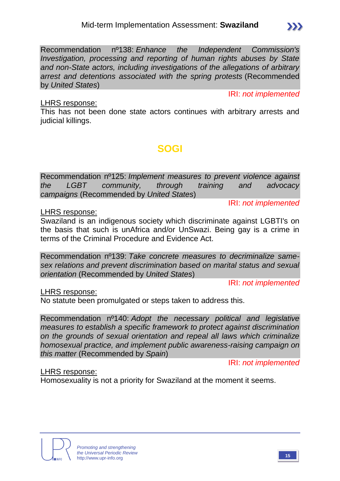Recommendation nº138: *Enhance the Independent Commission's Investigation, processing and reporting of human rights abuses by State and non-State actors, including investigations of the allegations of arbitrary arrest and detentions associated with the spring protests* (Recommended by *United States*)

IRI: *not implemented*

 $\sum$ 

## LHRS response:

This has not been done state actors continues with arbitrary arrests and judicial killings.

# **SOGI**

Recommendation nº125: *Implement measures to prevent violence against the LGBT community, through training and advocacy campaigns* (Recommended by *United States*)

IRI: *not implemented*

LHRS response:

Swaziland is an indigenous society which discriminate against LGBTI's on the basis that such is unAfrica and/or UnSwazi. Being gay is a crime in terms of the Criminal Procedure and Evidence Act.

Recommendation nº139: *Take concrete measures to decriminalize samesex relations and prevent discrimination based on marital status and sexual orientation* (Recommended by *United States*)

IRI: *not implemented*

# LHRS response:

No statute been promulgated or steps taken to address this.

Recommendation nº140: *Adopt the necessary political and legislative measures to establish a specific framework to protect against discrimination on the grounds of sexual orientation and repeal all laws which criminalize homosexual practice, and implement public awareness-raising campaign on this matter* (Recommended by *Spain*)

IRI: *not implemented*

# LHRS response:

Homosexuality is not a priority for Swaziland at the moment it seems.

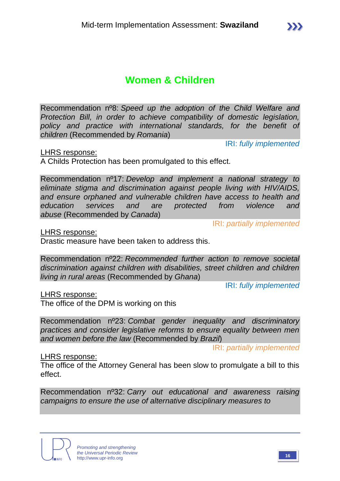# **Women & Children**

Recommendation nº8: *Speed up the adoption of the Child Welfare and Protection Bill, in order to achieve compatibility of domestic legislation, policy and practice with international standards, for the benefit of children* (Recommended by *Romania*)

IRI: *fully implemented*

LHRS response:

A Childs Protection has been promulgated to this effect.

Recommendation nº17: *Develop and implement a national strategy to eliminate stigma and discrimination against people living with HIV/AIDS, and ensure orphaned and vulnerable children have access to health and education services and are protected from violence and abuse* (Recommended by *Canada*)

IRI: *partially implemented*

LHRS response:

Drastic measure have been taken to address this.

Recommendation nº22: *Recommended further action to remove societal discrimination against children with disabilities, street children and children living in rural areas* (Recommended by *Ghana*)

IRI: *fully implemented*

LHRS response:

The office of the DPM is working on this

Recommendation nº23: *Combat gender inequality and discriminatory practices and consider legislative reforms to ensure equality between men and women before the law* (Recommended by *Brazil*)

IRI: *partially implemented*

#### LHRS response:

The office of the Attorney General has been slow to promulgate a bill to this effect.

Recommendation nº32: *Carry out educational and awareness raising campaigns to ensure the use of alternative disciplinary measures to* 



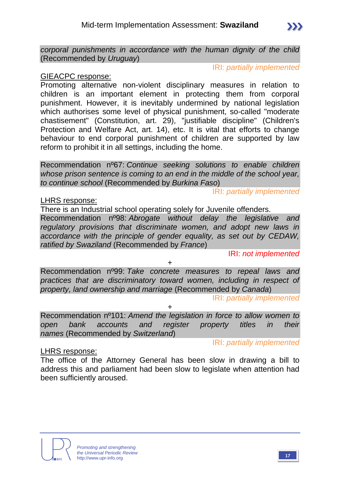*corporal punishments in accordance with the human dignity of the child* (Recommended by *Uruguay*)

IRI: *partially implemented*

## GIEACPC response:

Promoting alternative non-violent disciplinary measures in relation to children is an important element in protecting them from corporal punishment. However, it is inevitably undermined by national legislation which authorises some level of physical punishment, so-called "moderate chastisement" (Constitution, art. 29), "justifiable discipline" (Children's Protection and Welfare Act, art. 14), etc. It is vital that efforts to change behaviour to end corporal punishment of children are supported by law reform to prohibit it in all settings, including the home.

Recommendation nº67: *Continue seeking solutions to enable children whose prison sentence is coming to an end in the middle of the school year, to continue school* (Recommended by *Burkina Faso*)

IRI: *partially implemented*

#### LHRS response:

There is an Industrial school operating solely for Juvenile offenders.

Recommendation nº98: *Abrogate without delay the legislative and regulatory provisions that discriminate women, and adopt new laws in accordance with the principle of gender equality, as set out by CEDAW, ratified by Swaziland* (Recommended by *France*)

IRI: *not implemented*

+

Recommendation nº99: *Take concrete measures to repeal laws and practices that are discriminatory toward women, including in respect of property, land ownership and marriage* (Recommended by *Canada*)

IRI: *partially implemented*

Recommendation nº101: *Amend the legislation in force to allow women to open bank accounts and register property titles in their names* (Recommended by *Switzerland*)

+

IRI: *partially implemented*

# LHRS response:

The office of the Attorney General has been slow in drawing a bill to address this and parliament had been slow to legislate when attention had been sufficiently aroused.

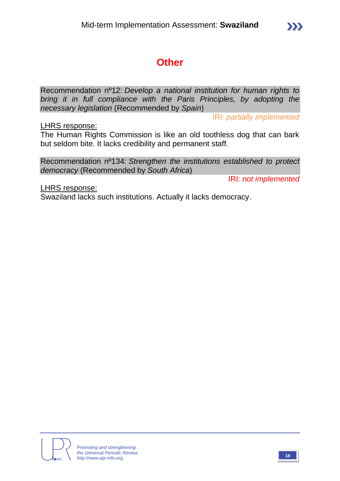# **Other**

Recommendation nº12: *Develop a national institution for human rights to bring it in full compliance with the Paris Principles, by adopting the necessary legislation* (Recommended by *Spain*)

IRI: *partially implemented*

LHRS response:

The Human Rights Commission is like an old toothless dog that can bark but seldom bite. It lacks credibility and permanent staff.

Recommendation nº134: *Strengthen the institutions established to protect democracy* (Recommended by *South Africa*)

IRI: *not implemented*

LHRS response: Swaziland lacks such institutions. Actually it lacks democracy.

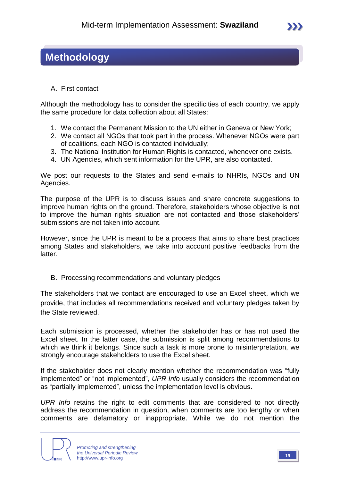# **Methodology**

A. First contact

Although the methodology has to consider the specificities of each country, we apply the same procedure for data collection about all States:

- 1. We contact the Permanent Mission to the UN either in Geneva or New York;
- 2. We contact all NGOs that took part in the process. Whenever NGOs were part of coalitions, each NGO is contacted individually;
- 3. The National Institution for Human Rights is contacted, whenever one exists.
- 4. UN Agencies, which sent information for the UPR, are also contacted.

We post our requests to the States and send e-mails to NHRIs, NGOs and UN Agencies.

The purpose of the UPR is to discuss issues and share concrete suggestions to improve human rights on the ground. Therefore, stakeholders whose objective is not to improve the human rights situation are not contacted and those stakeholders' submissions are not taken into account.

However, since the UPR is meant to be a process that aims to share best practices among States and stakeholders, we take into account positive feedbacks from the latter.

B. Processing recommendations and voluntary pledges

The stakeholders that we contact are encouraged to use an Excel sheet, which we provide, that includes all recommendations received and voluntary pledges taken by the State reviewed.

Each submission is processed, whether the stakeholder has or has not used the Excel sheet. In the latter case, the submission is split among recommendations to which we think it belongs. Since such a task is more prone to misinterpretation, we strongly encourage stakeholders to use the Excel sheet.

If the stakeholder does not clearly mention whether the recommendation was "fully implemented" or "not implemented", *UPR Info* usually considers the recommendation as "partially implemented", unless the implementation level is obvious.

*UPR Info* retains the right to edit comments that are considered to not directly address the recommendation in question, when comments are too lengthy or when comments are defamatory or inappropriate. While we do not mention the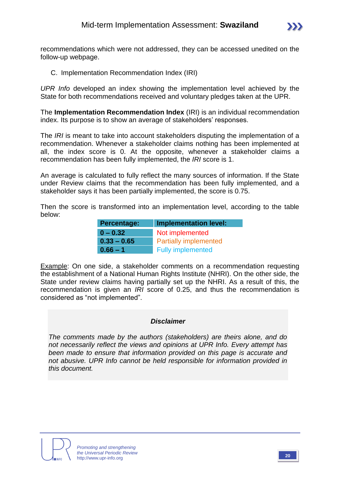

recommendations which were not addressed, they can be accessed unedited on the follow-up webpage.

C. Implementation Recommendation Index (IRI)

*UPR Info* developed an index showing the implementation level achieved by the State for both recommendations received and voluntary pledges taken at the UPR.

The **Implementation Recommendation Index** (IRI) is an individual recommendation index. Its purpose is to show an average of stakeholders' responses.

The *IRI* is meant to take into account stakeholders disputing the implementation of a recommendation. Whenever a stakeholder claims nothing has been implemented at all, the index score is 0. At the opposite, whenever a stakeholder claims a recommendation has been fully implemented, the *IRI* score is 1.

An average is calculated to fully reflect the many sources of information. If the State under Review claims that the recommendation has been fully implemented, and a stakeholder says it has been partially implemented, the score is 0.75.

Then the score is transformed into an implementation level, according to the table below:

| Percentage:   | <b>Implementation level:</b> |  |  |
|---------------|------------------------------|--|--|
| $0 - 0.32$    | Not implemented              |  |  |
| $0.33 - 0.65$ | <b>Partially implemented</b> |  |  |
| $0.66 - 1$    | <b>Fully implemented</b>     |  |  |

Example: On one side, a stakeholder comments on a recommendation requesting the establishment of a National Human Rights Institute (NHRI). On the other side, the State under review claims having partially set up the NHRI. As a result of this, the recommendation is given an *IRI* score of 0.25, and thus the recommendation is considered as "not implemented".

#### *Disclaimer*

*The comments made by the authors (stakeholders) are theirs alone, and do not necessarily reflect the views and opinions at UPR Info. Every attempt has been made to ensure that information provided on this page is accurate and not abusive. UPR Info cannot be held responsible for information provided in this document.*